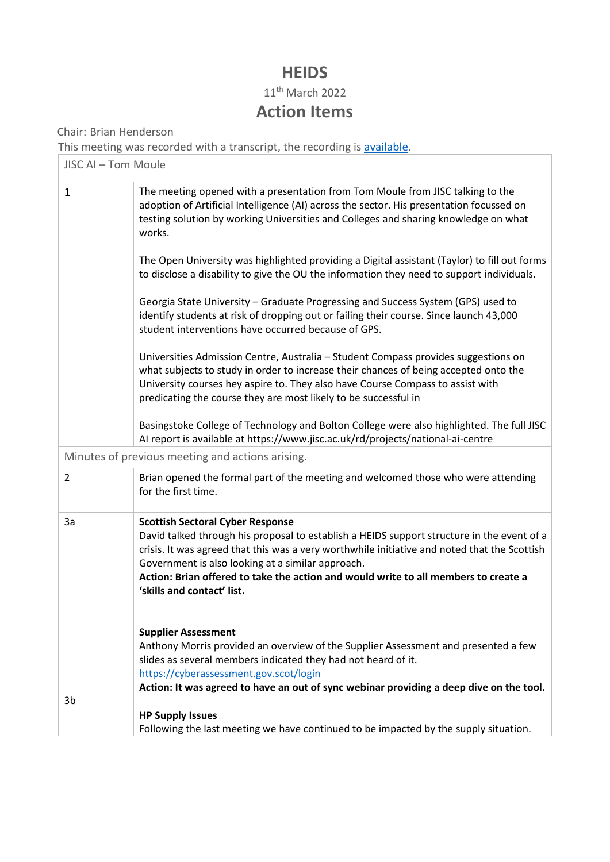## **HEIDS**

11th March 2022

## **Action Items**

Chair: Brian Henderson

This meeting was recorded with a transcript, the recording is [available.](https://ucisa-my.sharepoint.com/:v:/g/personal/heids_sec_ucisa_ac_uk/EfjmU9AsfkJLscGUWfT-32YBB9oa-xJaWJSPAI731Qt6CQ)

| JISC AI - Tom Moule                              |                                                                                                                                                                                                                                                                                                                                                                                                                 |  |  |  |  |
|--------------------------------------------------|-----------------------------------------------------------------------------------------------------------------------------------------------------------------------------------------------------------------------------------------------------------------------------------------------------------------------------------------------------------------------------------------------------------------|--|--|--|--|
| $\mathbf{1}$                                     | The meeting opened with a presentation from Tom Moule from JISC talking to the<br>adoption of Artificial Intelligence (AI) across the sector. His presentation focussed on<br>testing solution by working Universities and Colleges and sharing knowledge on what<br>works.                                                                                                                                     |  |  |  |  |
|                                                  | The Open University was highlighted providing a Digital assistant (Taylor) to fill out forms<br>to disclose a disability to give the OU the information they need to support individuals.                                                                                                                                                                                                                       |  |  |  |  |
|                                                  | Georgia State University - Graduate Progressing and Success System (GPS) used to<br>identify students at risk of dropping out or failing their course. Since launch 43,000<br>student interventions have occurred because of GPS.                                                                                                                                                                               |  |  |  |  |
|                                                  | Universities Admission Centre, Australia - Student Compass provides suggestions on<br>what subjects to study in order to increase their chances of being accepted onto the<br>University courses hey aspire to. They also have Course Compass to assist with<br>predicating the course they are most likely to be successful in                                                                                 |  |  |  |  |
|                                                  | Basingstoke College of Technology and Bolton College were also highlighted. The full JISC<br>Al report is available at https://www.jisc.ac.uk/rd/projects/national-ai-centre                                                                                                                                                                                                                                    |  |  |  |  |
| Minutes of previous meeting and actions arising. |                                                                                                                                                                                                                                                                                                                                                                                                                 |  |  |  |  |
| $\overline{2}$                                   | Brian opened the formal part of the meeting and welcomed those who were attending<br>for the first time.                                                                                                                                                                                                                                                                                                        |  |  |  |  |
| За                                               | <b>Scottish Sectoral Cyber Response</b><br>David talked through his proposal to establish a HEIDS support structure in the event of a<br>crisis. It was agreed that this was a very worthwhile initiative and noted that the Scottish<br>Government is also looking at a similar approach.<br>Action: Brian offered to take the action and would write to all members to create a<br>'skills and contact' list. |  |  |  |  |
|                                                  | <b>Supplier Assessment</b><br>Anthony Morris provided an overview of the Supplier Assessment and presented a few<br>slides as several members indicated they had not heard of it.<br>https://cyberassessment.gov.scot/login<br>Action: It was agreed to have an out of sync webinar providing a deep dive on the tool.                                                                                          |  |  |  |  |
| 3b                                               |                                                                                                                                                                                                                                                                                                                                                                                                                 |  |  |  |  |
|                                                  | <b>HP Supply Issues</b><br>Following the last meeting we have continued to be impacted by the supply situation.                                                                                                                                                                                                                                                                                                 |  |  |  |  |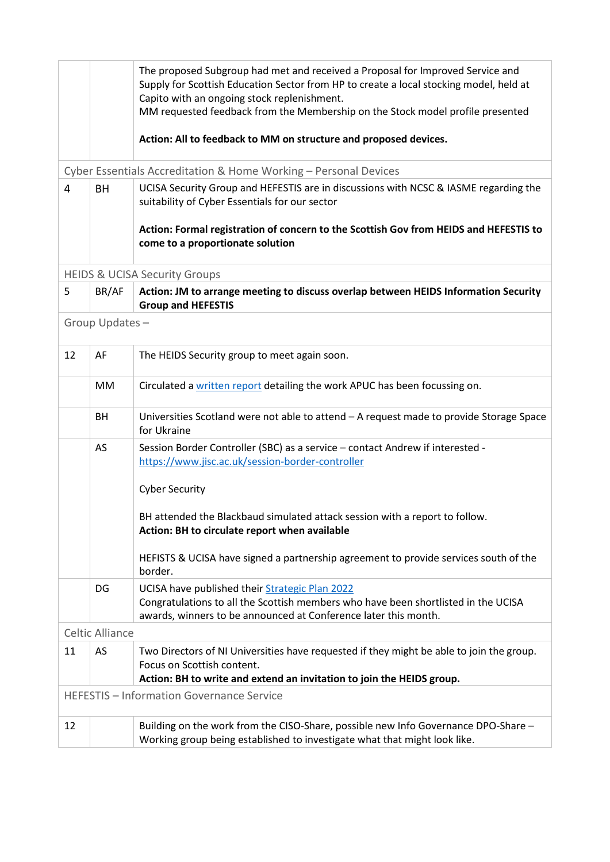|                                                  |                                                                  | The proposed Subgroup had met and received a Proposal for Improved Service and<br>Supply for Scottish Education Sector from HP to create a local stocking model, held at<br>Capito with an ongoing stock replenishment.<br>MM requested feedback from the Membership on the Stock model profile presented<br>Action: All to feedback to MM on structure and proposed devices. |  |  |  |  |  |
|--------------------------------------------------|------------------------------------------------------------------|-------------------------------------------------------------------------------------------------------------------------------------------------------------------------------------------------------------------------------------------------------------------------------------------------------------------------------------------------------------------------------|--|--|--|--|--|
|                                                  | Cyber Essentials Accreditation & Home Working - Personal Devices |                                                                                                                                                                                                                                                                                                                                                                               |  |  |  |  |  |
| $\overline{4}$                                   | BH                                                               | UCISA Security Group and HEFESTIS are in discussions with NCSC & IASME regarding the<br>suitability of Cyber Essentials for our sector                                                                                                                                                                                                                                        |  |  |  |  |  |
|                                                  |                                                                  | Action: Formal registration of concern to the Scottish Gov from HEIDS and HEFESTIS to<br>come to a proportionate solution                                                                                                                                                                                                                                                     |  |  |  |  |  |
| <b>HEIDS &amp; UCISA Security Groups</b>         |                                                                  |                                                                                                                                                                                                                                                                                                                                                                               |  |  |  |  |  |
| 5                                                | BR/AF                                                            | Action: JM to arrange meeting to discuss overlap between HEIDS Information Security<br><b>Group and HEFESTIS</b>                                                                                                                                                                                                                                                              |  |  |  |  |  |
| Group Updates-                                   |                                                                  |                                                                                                                                                                                                                                                                                                                                                                               |  |  |  |  |  |
| 12                                               | AF                                                               | The HEIDS Security group to meet again soon.                                                                                                                                                                                                                                                                                                                                  |  |  |  |  |  |
|                                                  | MM                                                               | Circulated a written report detailing the work APUC has been focussing on.                                                                                                                                                                                                                                                                                                    |  |  |  |  |  |
|                                                  | BH                                                               | Universities Scotland were not able to attend - A request made to provide Storage Space<br>for Ukraine                                                                                                                                                                                                                                                                        |  |  |  |  |  |
|                                                  | AS                                                               | Session Border Controller (SBC) as a service - contact Andrew if interested -<br>https://www.jisc.ac.uk/session-border-controller                                                                                                                                                                                                                                             |  |  |  |  |  |
|                                                  |                                                                  | <b>Cyber Security</b>                                                                                                                                                                                                                                                                                                                                                         |  |  |  |  |  |
|                                                  |                                                                  | BH attended the Blackbaud simulated attack session with a report to follow.<br>Action: BH to circulate report when available                                                                                                                                                                                                                                                  |  |  |  |  |  |
|                                                  |                                                                  | HEFISTS & UCISA have signed a partnership agreement to provide services south of the<br>border.                                                                                                                                                                                                                                                                               |  |  |  |  |  |
|                                                  | DG                                                               | UCISA have published their Strategic Plan 2022<br>Congratulations to all the Scottish members who have been shortlisted in the UCISA                                                                                                                                                                                                                                          |  |  |  |  |  |
|                                                  | <b>Celtic Alliance</b>                                           | awards, winners to be announced at Conference later this month.                                                                                                                                                                                                                                                                                                               |  |  |  |  |  |
| 11                                               | AS                                                               | Two Directors of NI Universities have requested if they might be able to join the group.<br>Focus on Scottish content.<br>Action: BH to write and extend an invitation to join the HEIDS group.                                                                                                                                                                               |  |  |  |  |  |
| <b>HEFESTIS - Information Governance Service</b> |                                                                  |                                                                                                                                                                                                                                                                                                                                                                               |  |  |  |  |  |
| 12                                               |                                                                  | Building on the work from the CISO-Share, possible new Info Governance DPO-Share -<br>Working group being established to investigate what that might look like.                                                                                                                                                                                                               |  |  |  |  |  |